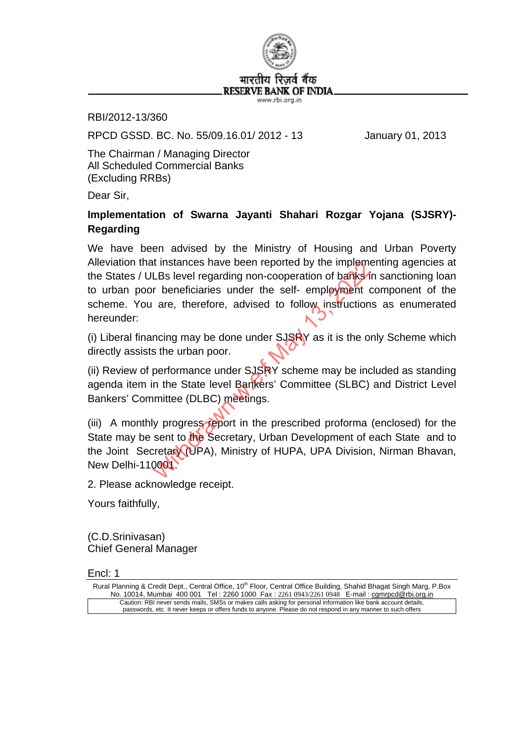

RBI/2012-13/360

RPCD GSSD. BC. No. 55/09.16.01/ 2012 - 13 January 01, 2013

The Chairman / Managing Director All Scheduled Commercial Banks (Excluding RRBs)

Dear Sir,

## **Implementation of Swarna Jayanti Shahari Rozgar Yojana (SJSRY)- Regarding**

We have been advised by the Ministry of Housing and Urban Poverty Alleviation that instances have been reported by the implementing agencies at the States / ULBs level regarding non-cooperation of banks in sanctioning loan to urban poor beneficiaries under the self- employment component of the scheme. You are, therefore, advised to follow instructions as enumerated hereunder: It instances have been reported by the implement LBs level regarding non-cooperation of banks<sup>1</sup><br>The perficiaries under the self-employment of the self-employment of the self-employment of the self-employment of the urban

(i) Liberal financing may be done under  $SJSRY$  as it is the only Scheme which directly assists the urban poor.

(ii) Review of performance under SJSRY scheme may be included as standing agenda item in the State level Bankers' Committee (SLBC) and District Level Bankers' Committee (DLBC) meetings.

(iii) A monthly progress report in the prescribed proforma (enclosed) for the State may be sent to the Secretary, Urban Development of each State and to the Joint Secretary (UPA), Ministry of HUPA, UPA Division, Nirman Bhavan, New Delhi-110001.

2. Please acknowledge receipt.

Yours faithfully,

(C.D.Srinivasan) Chief General Manager

Encl: 1

Rural Planning & Credit Dept., Central Office, 10<sup>th</sup> Floor, Central Office Building, Shahid Bhagat Singh Marg, P.Box No. 10014, Mumbai 400 001 Tel : 2260 1000 Fax : 2261 0943/2261 0948 E-mail : camrpcd@rbi.org.in Caution: RBI never sends mails, SMSs or makes calls asking for personal information like bank account details, passwords, etc. It never keeps or offers funds to anyone. Please do not respond in any manner to such offers